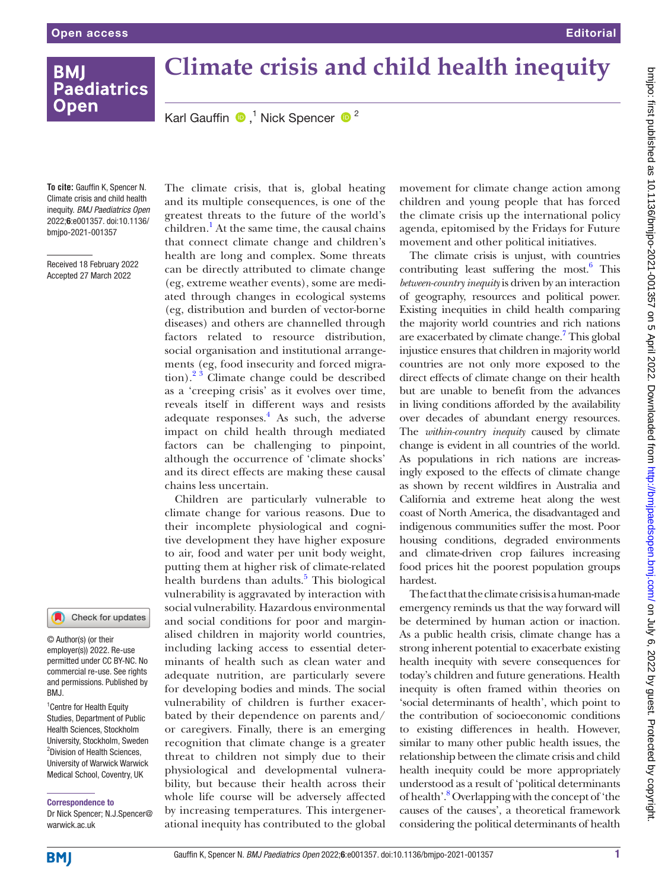**BMI** 

**Open** 

**To cite:** Gauffin K, Spencer N. Climate crisis and child health inequity. *BMJ Paediatrics Open* 2022;6:e001357. doi:10.1136/ bmjpo-2021-001357

Received 18 February 2022 Accepted 27 March 2022

## Check for updates m

© Author(s) (or their employer(s)) 2022. Re-use permitted under CC BY-NC. No commercial re-use. See rights and permissions. Published by RM<sub>J</sub>

<sup>1</sup> Centre for Health Equity Studies, Department of Public Health Sciences, Stockholm University, Stockholm, Sweden <sup>2</sup>Division of Health Sciences, University of Warwick Warwick Medical School, Coventry, UK

Correspondence to

Dr Nick Spencer; N.J.Spencer@ warwick ac.uk

The climate crisis, that is, global heating and its multiple consequences, is one of the greatest threats to the future of the world's children.<sup>1</sup> At the same time, the causal chains that connect climate change and children's health are long and complex. Some threats can be directly attributed to climate change (eg, extreme weather events), some are mediated through changes in ecological systems (eg, distribution and burden of vector-borne diseases) and others are channelled through factors related to resource distribution, social organisation and institutional arrangements (eg, food insecurity and forced migration). $2^3$  Climate change could be described as a 'creeping crisis' as it evolves over time, reveals itself in different ways and resists adequate responses.<sup>[4](#page-1-1)</sup> As such, the adverse impact on child health through mediated factors can be challenging to pinpoint, although the occurrence of 'climate shocks' and its direct effects are making these causal chains less uncertain.

Children are particularly vulnerable to climate change for various reasons. Due to their incomplete physiological and cognitive development they have higher exposure to air, food and water per unit body weight, putting them at higher risk of climate-related health burdens than adults.<sup>[5](#page-1-2)</sup> This biological vulnerability is aggravated by interaction with social vulnerability. Hazardous environmental and social conditions for poor and marginalised children in majority world countries, including lacking access to essential determinants of health such as clean water and adequate nutrition, are particularly severe for developing bodies and minds. The social vulnerability of children is further exacerbated by their dependence on parents and/ or caregivers. Finally, there is an emerging recognition that climate change is a greater threat to children not simply due to their physiological and developmental vulnerability, but because their health across their whole life course will be adversely affected by increasing temperatures. This intergenerational inequity has contributed to the global

movement for climate change action among children and young people that has forced the climate crisis up the international policy agenda, epitomised by the Fridays for Future movement and other political initiatives.

The climate crisis is unjust, with countries contributing least suffering the most. $6$  This *between-country inequity* is driven by an interaction of geography, resources and political power. Existing inequities in child health comparing the majority world countries and rich nations are exacerbated by climate change.<sup>[7](#page-1-4)</sup> This global injustice ensures that children in majority world countries are not only more exposed to the direct effects of climate change on their health but are unable to benefit from the advances in living conditions afforded by the availability over decades of abundant energy resources. The *within-country inequity* caused by climate change is evident in all countries of the world. As populations in rich nations are increasingly exposed to the effects of climate change as shown by recent wildfires in Australia and California and extreme heat along the west coast of North America, the disadvantaged and indigenous communities suffer the most. Poor housing conditions, degraded environments and climate-driven crop failures increasing food prices hit the poorest population groups hardest.

The fact that the climate crisis is a human-made emergency reminds us that the way forward will be determined by human action or inaction. As a public health crisis, climate change has a strong inherent potential to exacerbate existing health inequity with severe consequences for today's children and future generations. Health inequity is often framed within theories on 'social determinants of health', which point to the contribution of socioeconomic conditions to existing differences in health. However, similar to many other public health issues, the relationship between the climate crisis and child health inequity could be more appropriately understood as a result of 'political determinants of health'.<sup>8</sup> Overlapping with the concept of 'the causes of the causes', a theoretical framework considering the political determinants of health